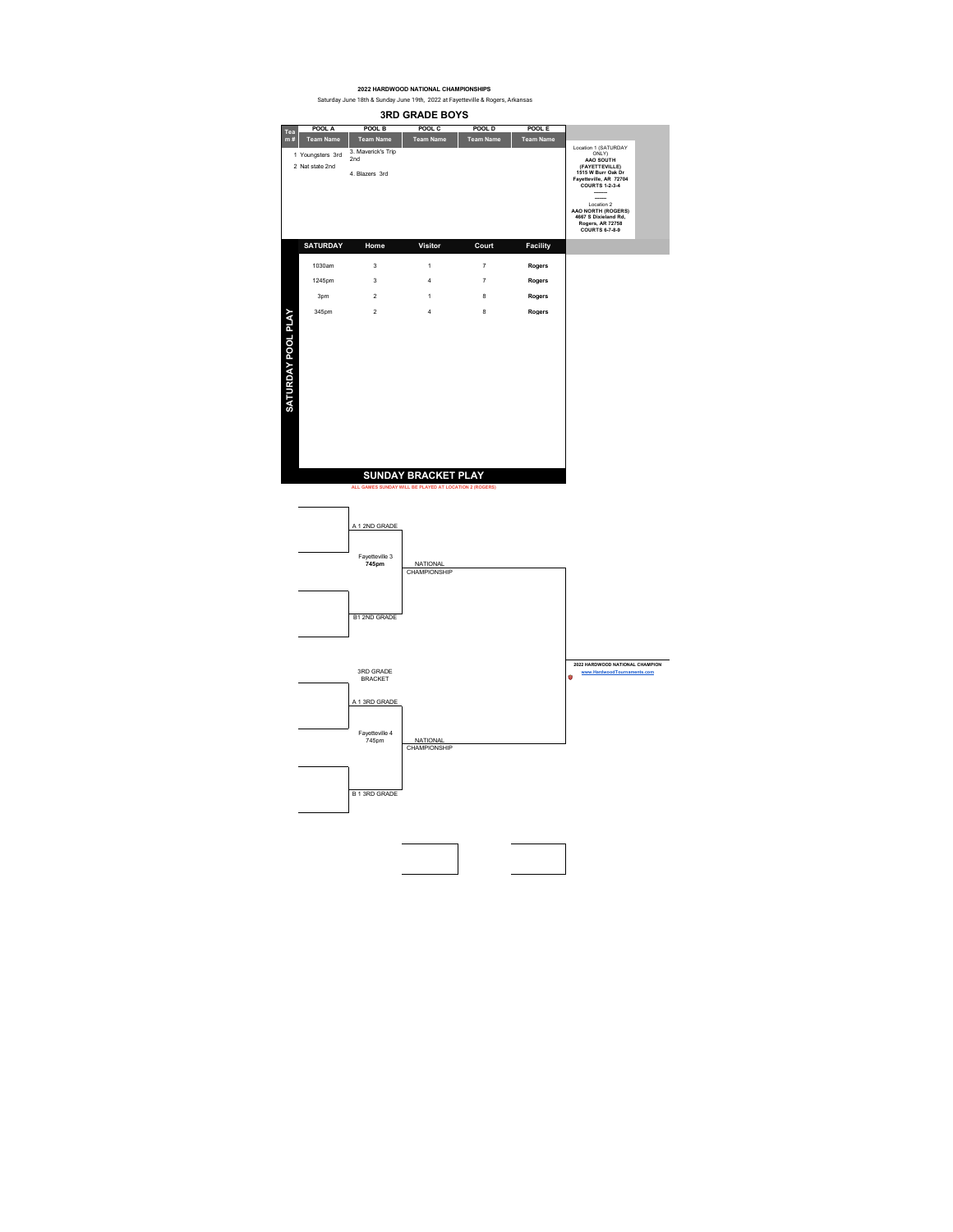

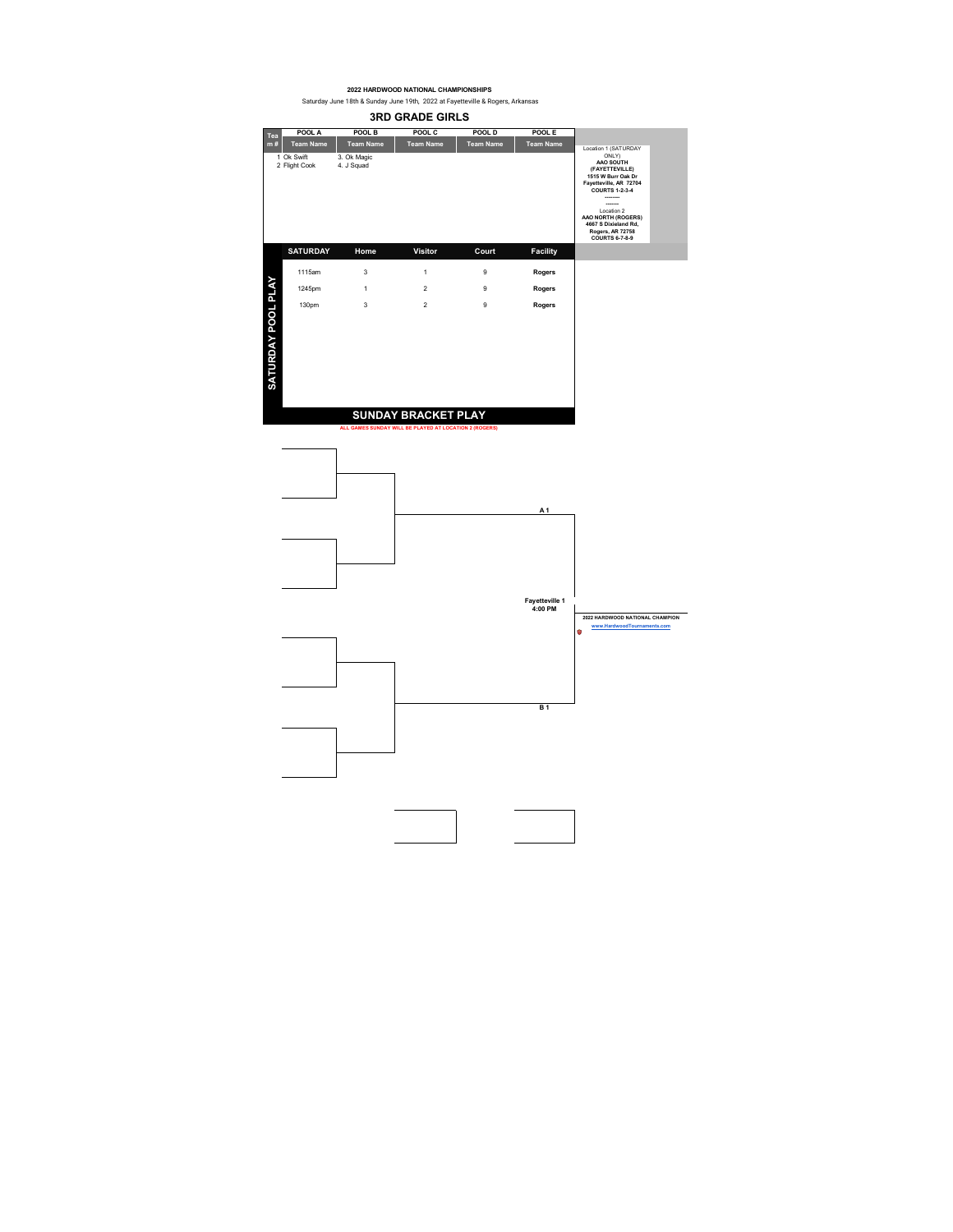**POOL A POOL B POOL C POOL D POOL E** 1 Ok Swift 3. Ok Magic 2 Flight Cook 4. J Squad **Team Name Team Name Tea** Location 1 (SATURDAY ONLY) **AAO SOUTH (FAYETTEVILLE) 1515 W Burr Oak Dr Fayetteville, AR 72704 COURTS 1-2-3-4 -------- -------** Location 2 **AAO NORTH (ROGERS) 4667 S Dixieland Rd, Rogers, AR 72758 COURTS 6-7-8-9 3RD GRADE GIRLS**<br>**POOL B POOL C POOLD m # Team Name Team Name Team Name**

**SATURDAY Home Visitor Court Facility**1115am 3 1 9 **Rogers**  SATURDAY POOL PLAY **SATURDAY POOL PLAY** 1245pm 1 2 9 **Rogers**  130pm 3 2 9 **Rogers SUNDAY BRACKET PLAY**

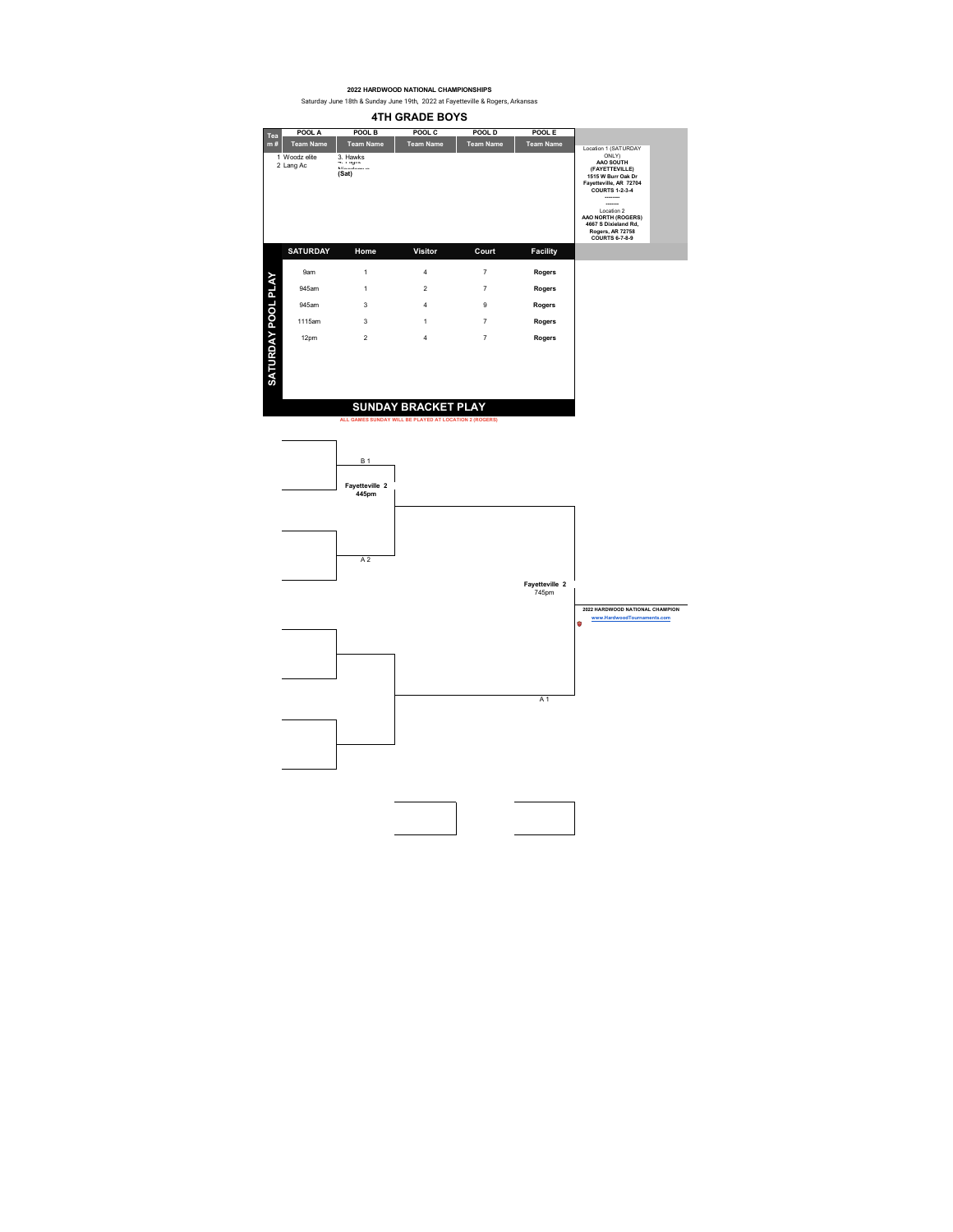**4TH GRADE BOYS**<br>POOL B POOL C POOLD **POOL A POOL B POOL C POOL D POOL E Team Name Team Name Team Name Team NameTeam Name Tea m #** Location 1 (SATURDAY ONLY) **AAO SOUTH (FAYETTEVILLE) 1515 W Burr Oak Dr Fayetteville, AR 72704 COURTS 1-2-3-4** 2 Lang Ac 4. Figure 1. Allands 1. Figure 1. Figure 1. Figure 1. Figure 1. Figure 1. Figure 1. Figure 1. Figure 1. Figure 1. Figure 1. Figure 1. Figure 1. Figure 1. Figure 1. Figure 1. Figure 1. Figure 1. Figure 1. Figure 1 Woodz elite 3. Hawks Nicodemus **(Sat) -------- -------** Location 2 **AAO NORTH (ROGERS) 4667 S Dixieland Rd, Rogers, AR 72758 COURTS 6-7-8-9 SATURDAY Home Visitor Court Facility** SATURDAY POOL PLAY 9am 1 4 7 **Rogers SATURDAY POOL PLAY** 945am 1 2 7 **Rogers** 945am 3 4 9 **Rogers**  1115am 3 1 7 **Rogers** 12pm 2 4 7 **Rogers**

## **SUNDAY BRACKET PLAY**

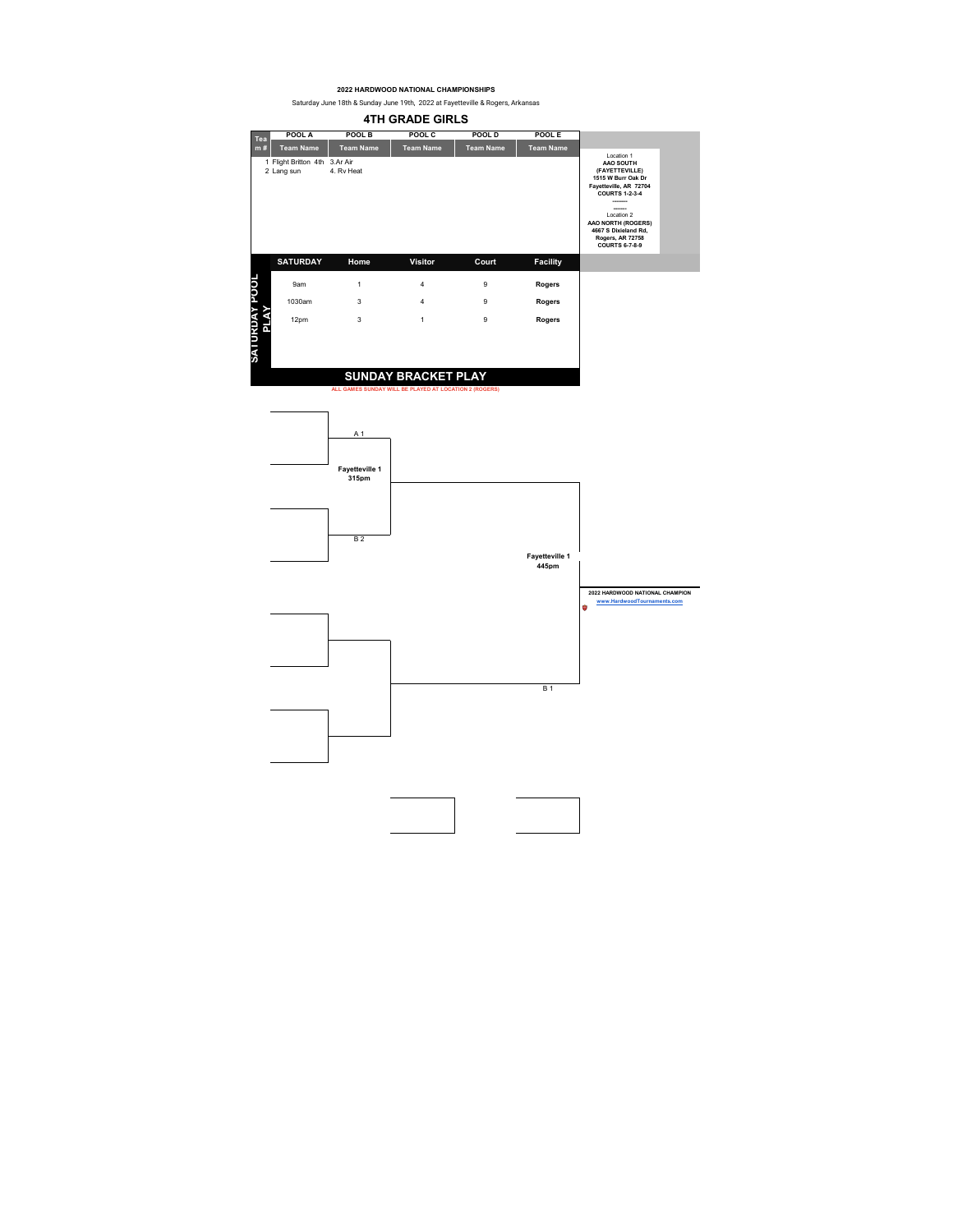**4TH GRADE GIRLS**

|           | POOL A                                      | POOL B           | POOL C                     | POOL D           | POOL E           |                                                                                                                                                                                                               |  |
|-----------|---------------------------------------------|------------------|----------------------------|------------------|------------------|---------------------------------------------------------------------------------------------------------------------------------------------------------------------------------------------------------------|--|
| Tea<br>m# | <b>Team Name</b>                            | <b>Team Name</b> | <b>Team Name</b>           | <b>Team Name</b> | <b>Team Name</b> | Location 1                                                                                                                                                                                                    |  |
|           | 1 Flight Britton 4th 3.Ar Air<br>2 Lang sun | 4. Rv Heat       |                            |                  |                  | AAO SOUTH<br>(FAYETTEVILLE)<br>1515 W Burr Oak Dr<br>Favetteville, AR 72704<br><b>COURTS 1-2-3-4</b><br>Location 2<br>AAO NORTH (ROGERS)<br>4667 S Dixieland Rd,<br>Rogers, AR 72758<br><b>COURTS 6-7-8-9</b> |  |
|           | <b>SATURDAY</b>                             | Home             | <b>Visitor</b>             | Court            | <b>Facility</b>  |                                                                                                                                                                                                               |  |
| <b>B</b>  | 9am                                         | 1                | 4                          | 9                | Rogers           |                                                                                                                                                                                                               |  |
|           | 1030am                                      | 3                | 4                          | 9                | Rogers           |                                                                                                                                                                                                               |  |
| ൳         | 12pm                                        | 3                | $\mathbf{1}$               | 9                | Rogers           |                                                                                                                                                                                                               |  |
| עואט ו א  |                                             |                  | <b>SUNDAY BRACKET PLAY</b> |                  |                  |                                                                                                                                                                                                               |  |
|           |                                             |                  |                            |                  |                  |                                                                                                                                                                                                               |  |

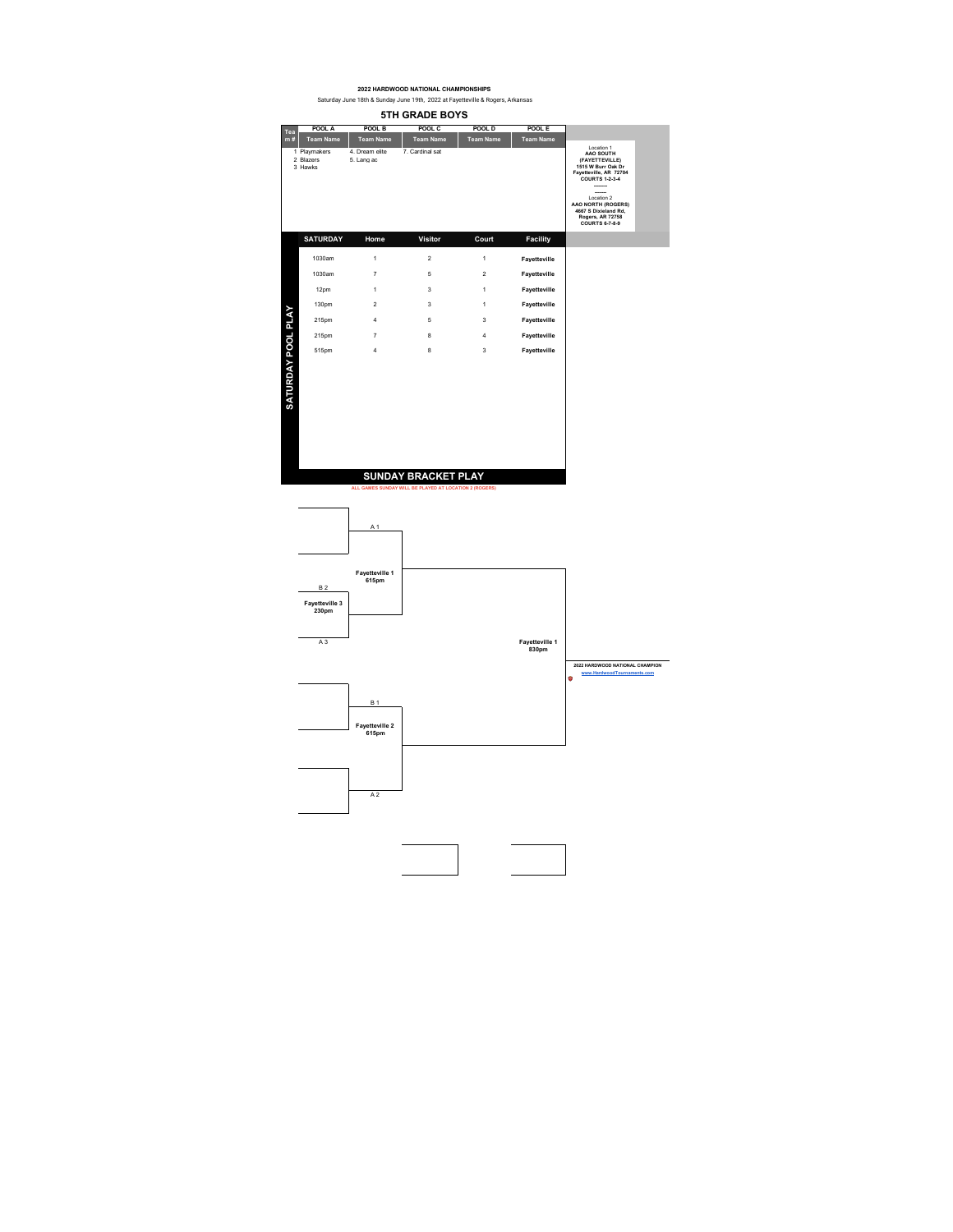**5TH GRADE BOYS POOL A POOL B POOL C POOL D POOL E Team Name Team Name Tea m # Team Name Team Name Team Name** 1 Playmakers<br>2 Blazers<br>3 Hawks Location 1 **AAO SOUTH (FAYETTEVILLE) 1515 W Burr Oak Dr Fayetteville, AR 72704 COURTS 1-2-3-4** 1 Playmakers 4. Dream elite 7. Cardinal sat<br>2 Blazers 5. Lang ac **-------- -------** Location 2 **AAO NORTH (ROGERS) 4667 S Dixieland Rd, Rogers, AR 72758 COURTS 6-7-8-9 SATURDAY Home Visitor Court Facility**1030am 1 2 1 **Fayetteville**  1030am 7 5 2 **Fayetteville**  12pm 1 3 1 **Fayetteville**  130pm 2 3 1 **Fayetteville**  SATURDAY POOL PLAY **SATURDAY POOL PLAY** 215pm 4 5 3 **Fayetteville**  215pm 7 8 4 **Fayetteville**  515pm 4 8 3 **Fayetteville SUNDAY BRACKET PLAY**

**ALL GAMES SUNDAY WILL BE PLAYED AT LOCATION 2 (ROGERS)**

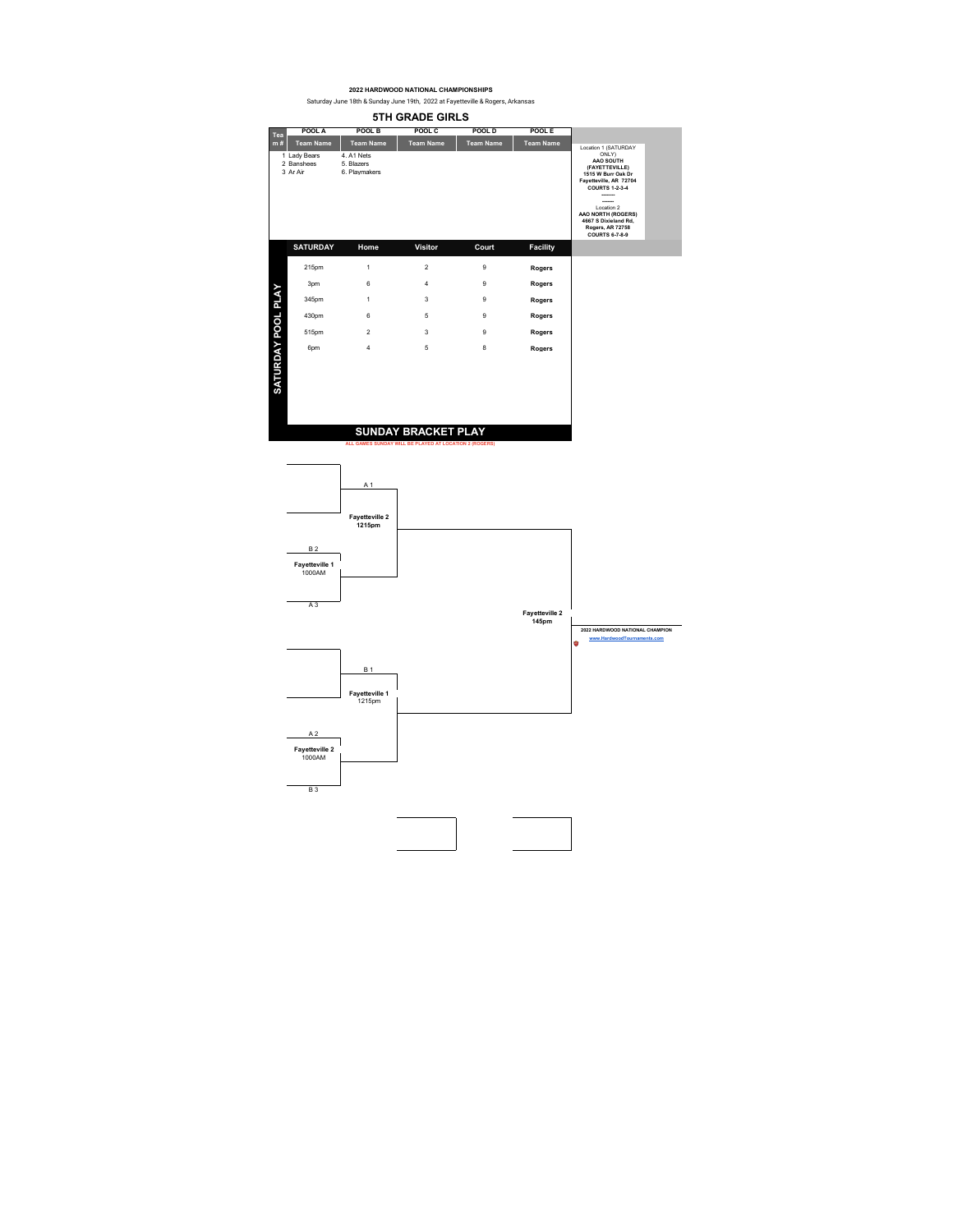Saturday June 18th & Sunday June 19th, 2022 at Fayetteville & Rogers, Arkansas

|                    | <b>5TH GRADE GIRLS</b>                 |                                         |                                                                                      |                  |                  |                                                                                                                                                                                                                                         |  |  |  |  |
|--------------------|----------------------------------------|-----------------------------------------|--------------------------------------------------------------------------------------|------------------|------------------|-----------------------------------------------------------------------------------------------------------------------------------------------------------------------------------------------------------------------------------------|--|--|--|--|
| Tea                | POOL A                                 | POOL B                                  | POOL C                                                                               | POOL D           | POOL E           |                                                                                                                                                                                                                                         |  |  |  |  |
| m#                 | <b>Team Name</b>                       | <b>Team Name</b>                        | <b>Team Name</b>                                                                     | <b>Team Name</b> | <b>Team Name</b> | Location 1 (SATURDAY                                                                                                                                                                                                                    |  |  |  |  |
|                    | 1 Lady Bears<br>2 Banshees<br>3 Ar Air | 4 A1 Nets<br>5 Blazers<br>6. Playmakers |                                                                                      |                  |                  | ONLY<br>AAO SOUTH<br>(FAYETTEVILLE)<br>1515 W Burr Oak Dr<br>Fayetteville, AR 72704<br><b>COURTS 1-2-3-4</b><br>-------<br>Location 2<br>AAO NORTH (ROGERS)<br>4667 S Dixieland Rd.<br><b>Rogers, AR 72758</b><br><b>COURTS 6-7-8-9</b> |  |  |  |  |
|                    | <b>SATURDAY</b>                        | Home                                    | <b>Visitor</b>                                                                       | Court            | <b>Facility</b>  |                                                                                                                                                                                                                                         |  |  |  |  |
|                    | 215pm                                  | 1                                       | $\overline{2}$                                                                       | 9                | Rogers           |                                                                                                                                                                                                                                         |  |  |  |  |
|                    | 3pm                                    | 6                                       | 4                                                                                    | 9                | Rogers           |                                                                                                                                                                                                                                         |  |  |  |  |
|                    | 345pm                                  | 1                                       | 3                                                                                    | 9                | Rogers           |                                                                                                                                                                                                                                         |  |  |  |  |
|                    | 430pm                                  | 6                                       | 5                                                                                    | 9                | Rogers           |                                                                                                                                                                                                                                         |  |  |  |  |
|                    | 515pm                                  | $\mathfrak{p}$                          | 3                                                                                    | 9                | Rogers           |                                                                                                                                                                                                                                         |  |  |  |  |
|                    | 6pm                                    | 4                                       | 5                                                                                    | 8                | Rogers           |                                                                                                                                                                                                                                         |  |  |  |  |
| SATURDAY POOL PLAY |                                        |                                         | <b>SUNDAY BRACKET PLAY</b><br>ALL GAMES SUNDAY WILL BE PLAYED AT LOCATION 2 (ROGERS) |                  |                  |                                                                                                                                                                                                                                         |  |  |  |  |

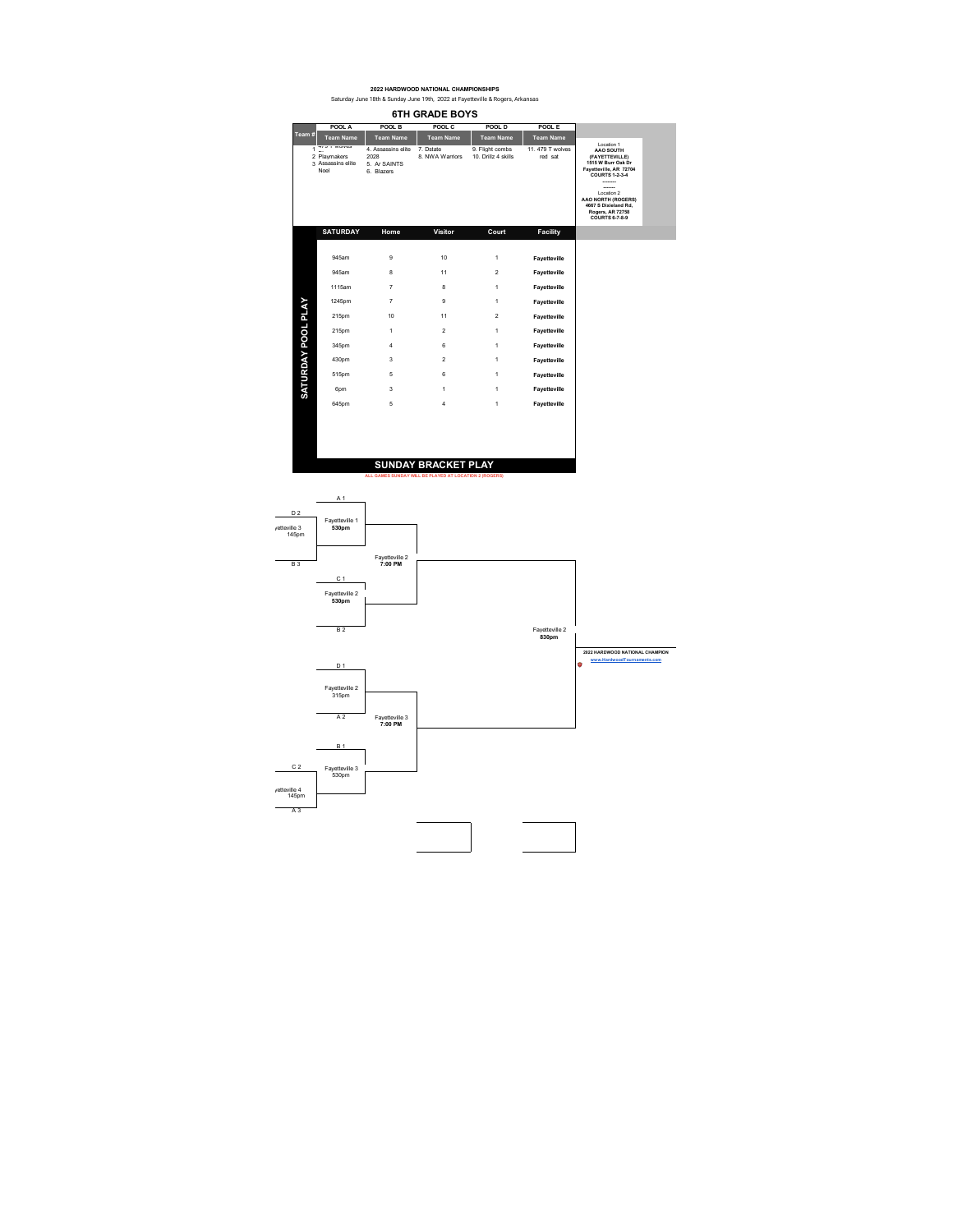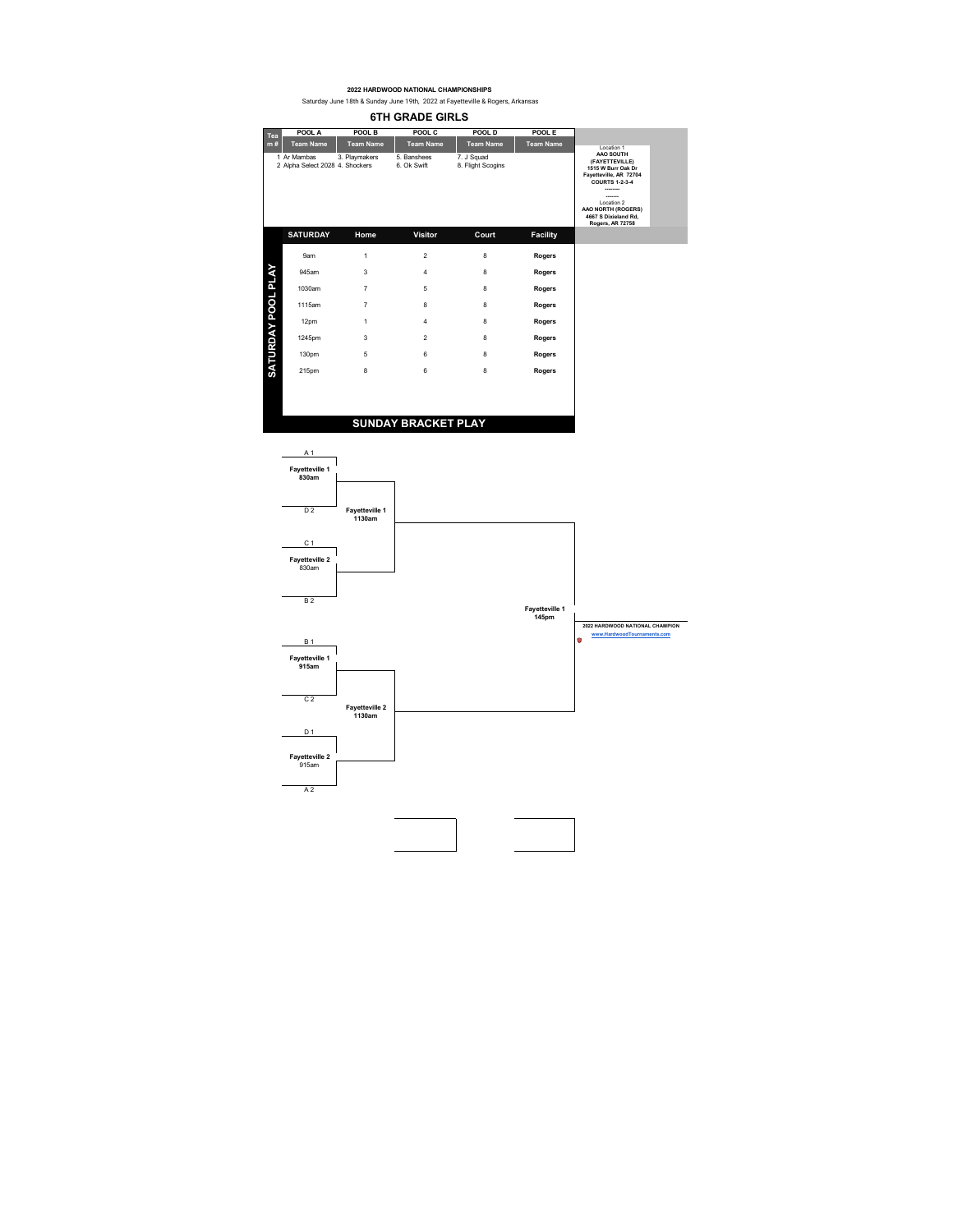| 61H GRADE GIRLS |  |
|-----------------|--|
|-----------------|--|

| Tea                       | POOL A                                         | POOL B           | POOL C                     | POOL D                          | POOL E           |                                                                                                                                                                                                     |
|---------------------------|------------------------------------------------|------------------|----------------------------|---------------------------------|------------------|-----------------------------------------------------------------------------------------------------------------------------------------------------------------------------------------------------|
| m#                        | <b>Team Name</b>                               | <b>Team Name</b> | <b>Team Name</b>           | <b>Team Name</b>                | <b>Team Name</b> | Location 1                                                                                                                                                                                          |
|                           | 1 Ar Mambas<br>2 Alpha Select 2028 4. Shockers | 3. Playmakers    | 5. Banshees<br>6. Ok Swift | 7. J Squad<br>8. Flight Scogins |                  | AAO SOUTH<br>(FAYETTEVILLE)<br>1515 W Burr Oak Dr<br>Fayetteville, AR 72704<br><b>COURTS 1-2-3-4</b><br><br>-------<br>Location 2<br>AAO NORTH (ROGERS)<br>4667 S Dixieland Rd.<br>Rogers, AR 72758 |
|                           | <b>SATURDAY</b>                                | Home             | Visitor                    | Court                           | <b>Facility</b>  |                                                                                                                                                                                                     |
|                           | 9am                                            | 1                | $\overline{2}$             | 8                               | Rogers           |                                                                                                                                                                                                     |
|                           | 945am                                          | 3                | 4                          | 8                               | Rogers           |                                                                                                                                                                                                     |
|                           | 1030am                                         | $\overline{7}$   | 5                          | 8                               | Rogers           |                                                                                                                                                                                                     |
|                           | 1115am                                         | $\overline{7}$   | 8                          | 8                               | <b>Rogers</b>    |                                                                                                                                                                                                     |
|                           | 12pm                                           | $\mathbf{1}$     | 4                          | 8                               | Rogers           |                                                                                                                                                                                                     |
|                           | 1245pm                                         | 3                | $\overline{2}$             | 8                               | Rogers           |                                                                                                                                                                                                     |
| <b>SATURDAY POOL PLAY</b> | 130pm                                          | 5                | 6                          | 8                               | Rogers           |                                                                                                                                                                                                     |
|                           | 215pm                                          | 8                | 6                          | 8                               | Rogers           |                                                                                                                                                                                                     |
|                           |                                                |                  |                            |                                 |                  |                                                                                                                                                                                                     |
|                           |                                                |                  |                            |                                 |                  |                                                                                                                                                                                                     |

## **SUNDAY BRACKET PLAY**

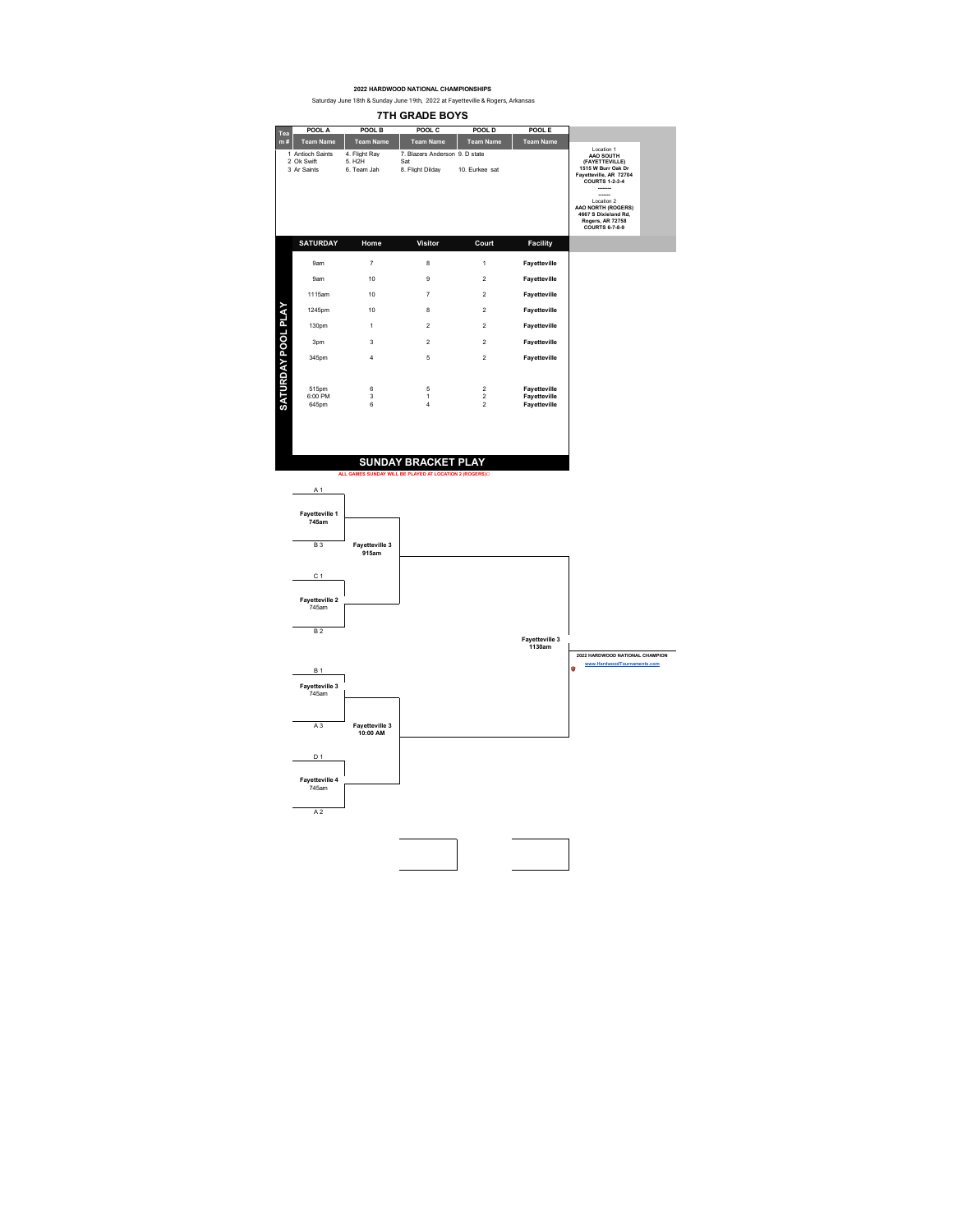**7TH GRADE BOYS POOL A POOL B POOL C POOL D POOL E Team Name Team Name m # Team Name Team Name Team Name Tea** 2 Ok Swift 5. Hight Ray<br>2 Ok Swift 5. H2H<br>3 Ar Saints 6. Team Jah Location 1 **AAO SOUTH (FAYETTEVILLE) 1515 W Burr Oak Dr Fayetteville, AR 72704 COURTS 1-2-3-4** 1 Antioch Saints 4. Flight Ray 7. Blazers Anderson 9. D state 3 Ar Saints 6. Team Jah 8. Flight Dilday 10. Eurkee sat **-------- -------** Location 2 **AAO NORTH (ROGERS) 4667 S Dixieland Rd, Rogers, AR 72758 COURTS 6-7-8-9 SATURDAY Home Visitor Court Facility**9am 7 8 1 **Fayetteville**  9am 10 9 2 **Fayetteville**  1115am 10 7 2 **Fayetteville SATURDAY POOL PLAY SATURDAY POOL PLAY** 1245pm 10 8 2 **Fayetteville**  130pm 1 2 2 **Fayetteville**  3pm 3 2 2 **Fayetteville**  345pm 4 5 2 **Fayetteville**  515pm 6 5 2 **Fayetteville**  6:00 PM 3 1 2 **Fayetteville**  645pm 6 4 2 **Fayetteville SUNDAY BRACKET PLAY ALL GAMES SUNDAY WILL BE PLAYED AT LOCATION 2 (ROGERS)** A 1

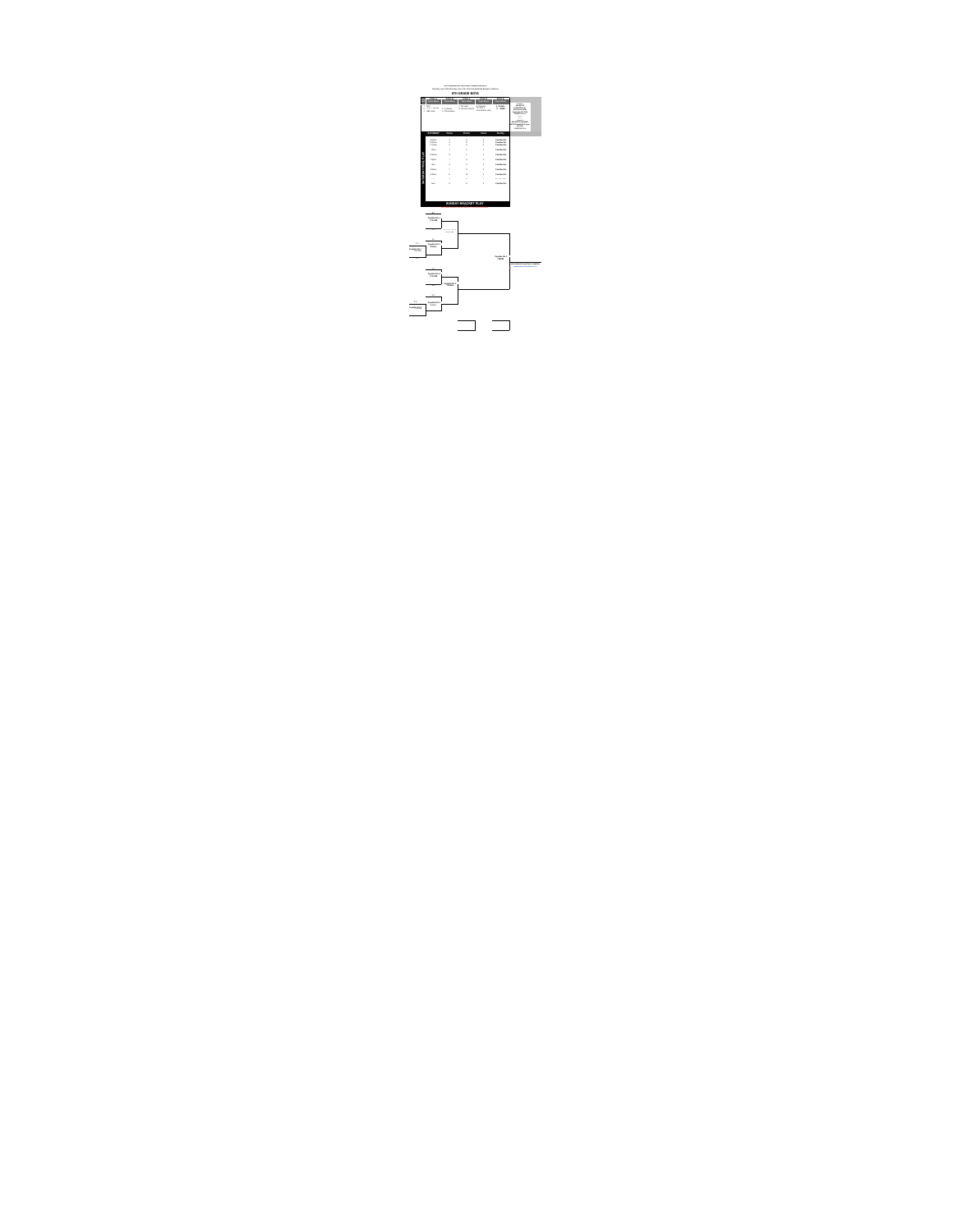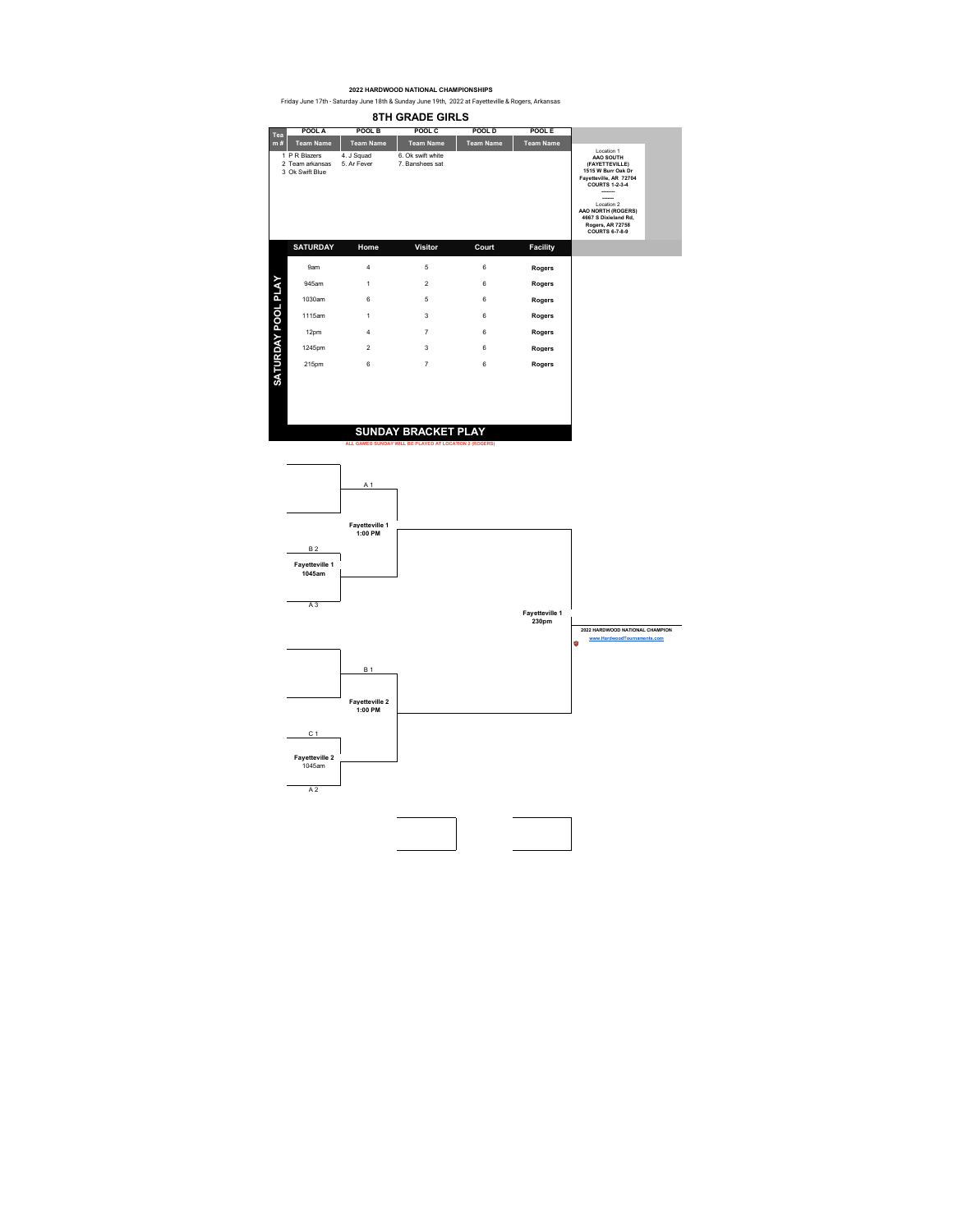| Tea                | POOL A                                              | POOL B                    | POOL C                                                                               | POOL D           | POOL E           |                                                                                                                                                                                                                                           |
|--------------------|-----------------------------------------------------|---------------------------|--------------------------------------------------------------------------------------|------------------|------------------|-------------------------------------------------------------------------------------------------------------------------------------------------------------------------------------------------------------------------------------------|
| m#                 | <b>Team Name</b>                                    | <b>Team Name</b>          | <b>Team Name</b>                                                                     | <b>Team Name</b> | <b>Team Name</b> | Location 1                                                                                                                                                                                                                                |
|                    | 1 P R Blazers<br>2 Team arkansas<br>3 Ok Swift Blue | 4. J Squad<br>5. Ar Fever | 6. Ok swift white<br>7. Banshees sat                                                 |                  |                  | AAO SOUTH<br>(FAYETTEVILLE)<br>1515 W Burr Oak Dr<br>Fayetteville, AR 72704<br><b>COURTS 1-2-3-4</b><br>-------<br>------<br>Location 2<br>AAO NORTH (ROGERS)<br>4667 S Dixieland Rd.<br><b>Rogers, AR 72758</b><br><b>COURTS 6-7-8-9</b> |
|                    | <b>SATURDAY</b>                                     | Home                      | <b>Visitor</b>                                                                       | Court            | <b>Facility</b>  |                                                                                                                                                                                                                                           |
|                    | 9am                                                 | $\overline{4}$            | 5                                                                                    | 6                | Rogers           |                                                                                                                                                                                                                                           |
|                    | 945am                                               | 1                         | $\overline{2}$                                                                       | 6                | Rogers           |                                                                                                                                                                                                                                           |
|                    | 1030am                                              | 6                         | 5                                                                                    | 6                | Rogers           |                                                                                                                                                                                                                                           |
|                    | 1115am                                              | 1                         | 3                                                                                    | 6                | Rogers           |                                                                                                                                                                                                                                           |
|                    | 12pm                                                | $\overline{4}$            | $\overline{7}$                                                                       | 6                | Rogers           |                                                                                                                                                                                                                                           |
|                    | 1245pm                                              | $\overline{2}$            | 3                                                                                    | 6                | <b>Rogers</b>    |                                                                                                                                                                                                                                           |
| SATURDAY POOL PLAY | 215pm                                               | 6                         | $\overline{7}$                                                                       | 6                | Rogers           |                                                                                                                                                                                                                                           |
|                    |                                                     |                           | <b>SUNDAY BRACKET PLAY</b><br>ALL GAMES SUNDAY WILL BE PLAYED AT LOCATION 2 (ROGERS) |                  |                  |                                                                                                                                                                                                                                           |

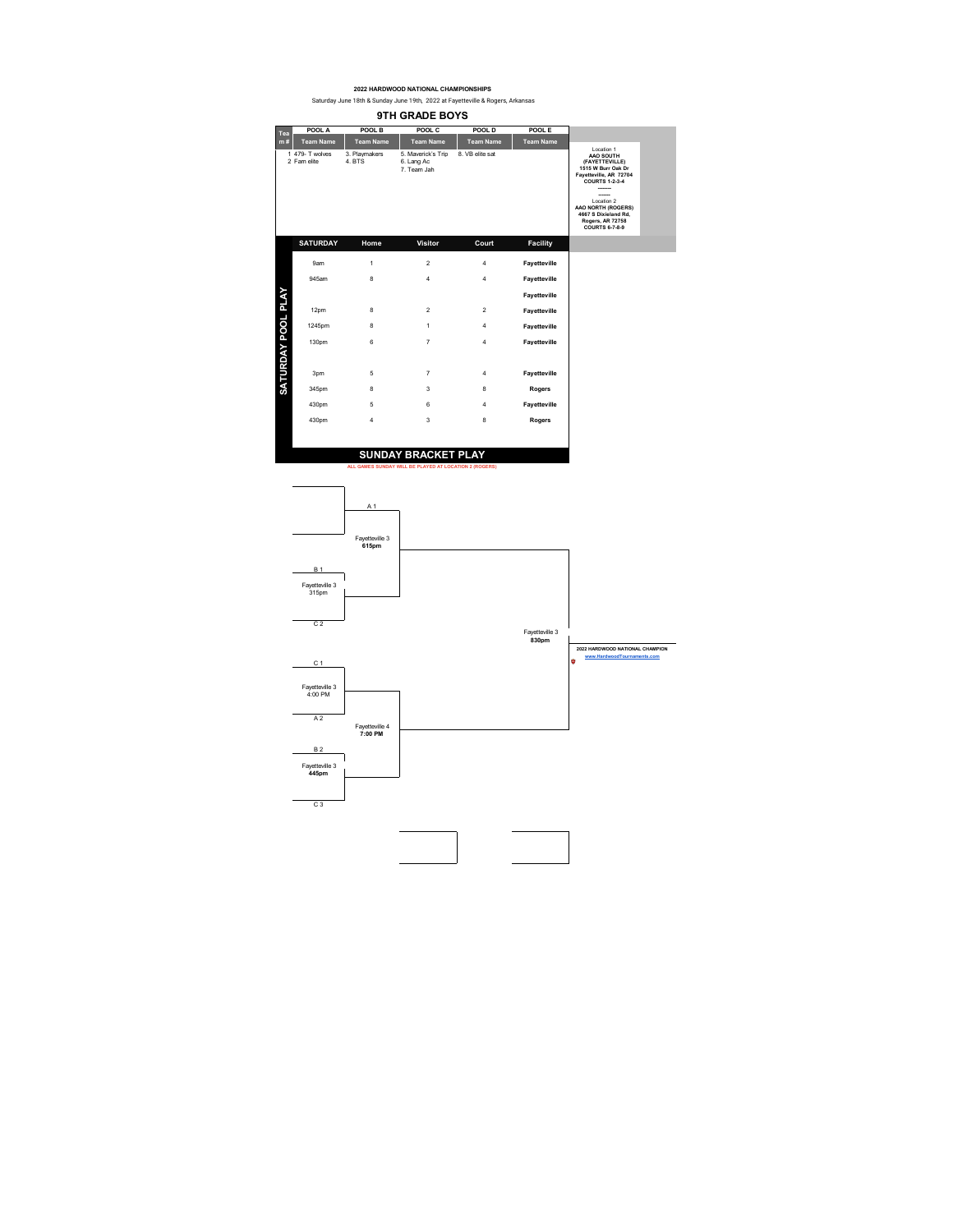**9TH GRADE BOYS POOL A POOL B POOL C POOL D POOL E Team Name Team Name Team Name Team Name Team Name Tea m #**Location 1 **AAO SOUTH (FAYETTEVILLE) 1515 W Burr Oak Dr Fayetteville, AR 72704 COURTS 1-2-3-4** 1 479- I wolves 3. Playmakers 5. Lang Ac<br>2 Fam elite 4. BTS 6. Lang Ac<br>7. Team Jah **-------- -------** Location 2 **AAO NORTH (ROGERS) 4667 S Dixieland Rd, Rogers, AR 72758 COURTS 6-7-8-9 SATURDAY Home Visitor Court Facility** 9am 1 2 4 **Fayetteville**  945am 8 4 4 **Fayetteville**  SATURDAY POOL PLAY **SATURDAY POOL PLAY Fayetteville**  12pm 8 2 2 **Fayetteville**  1245pm 8 1 4 **Fayetteville**  130pm 6 7 4 **Fayetteville**  3pm 5 7 4 **Fayetteville**  345pm 8 3 8 **Rogers**  430pm 5 6 4 **Fayetteville**  430pm 4 3 8 **Rogers SUNDAY BRACKET PLAY ALL GAMES SUNDAY WILL BE PLAYED AT LOCATION 2 (ROGERS)**

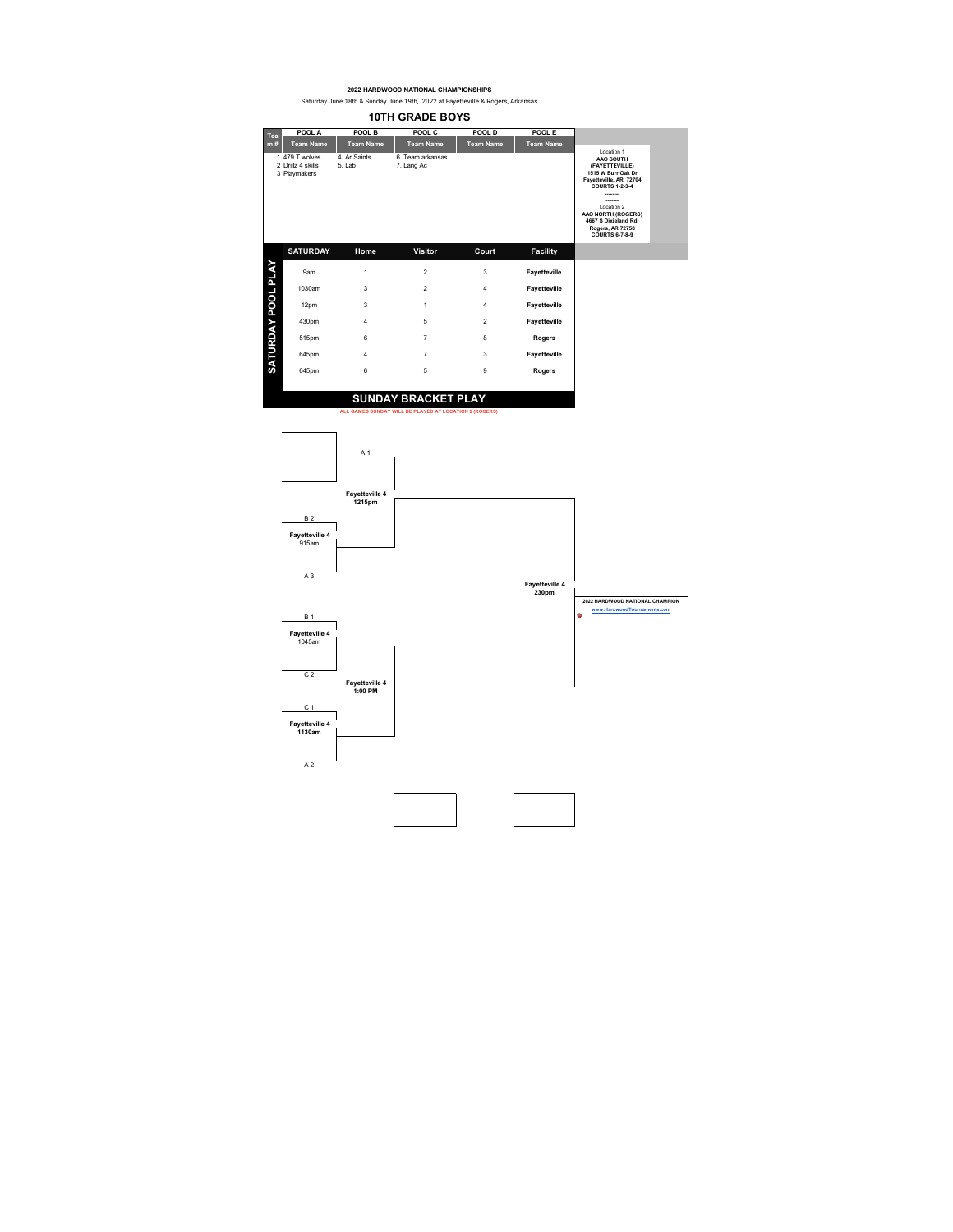Saturday June 18th & Sunday June 19th, 2022 at Fayetteville & Rogers, Arkansas **10TH GRADE BOYS**

| Tea                | POOL A                                              | POOL B                 | POOL C                         | POOL D           | POOL E           |                                                                                                                                                                                                               |
|--------------------|-----------------------------------------------------|------------------------|--------------------------------|------------------|------------------|---------------------------------------------------------------------------------------------------------------------------------------------------------------------------------------------------------------|
| m#                 | <b>Team Name</b>                                    | <b>Team Name</b>       | <b>Team Name</b>               | <b>Team Name</b> | <b>Team Name</b> | Location 1                                                                                                                                                                                                    |
|                    | 1 479 T wolves<br>2 Drillz 4 skills<br>3 Playmakers | 4. Ar Saints<br>5. Lab | 6. Team arkansas<br>7. Lang Ac |                  |                  | AAO SOUTH<br>(FAYETTEVILLE)<br>1515 W Burr Oak Dr<br>Fayetteville, AR 72704<br><b>COURTS 1-2-3-4</b><br>Location 2<br>AAO NORTH (ROGERS)<br>4667 S Dixieland Rd.<br>Rogers, AR 72758<br><b>COURTS 6-7-8-9</b> |
|                    | <b>SATURDAY</b>                                     | Home                   | <b>Visitor</b>                 | Court            | <b>Facility</b>  |                                                                                                                                                                                                               |
| SATURDAY POOL PLAY | 9am                                                 | 1                      | $\overline{2}$                 | 3                | Fayetteville     |                                                                                                                                                                                                               |
|                    | 1030am                                              | 3                      | $\overline{2}$                 | $\overline{4}$   | Fayetteville     |                                                                                                                                                                                                               |
|                    | 12pm                                                | 3                      | 1                              | $\overline{4}$   | Fayetteville     |                                                                                                                                                                                                               |
|                    | 430pm                                               | 4                      | 5                              | $\overline{2}$   | Fayetteville     |                                                                                                                                                                                                               |
|                    | 515pm                                               | 6                      | $\overline{7}$                 | 8                | Rogers           |                                                                                                                                                                                                               |
|                    | 645pm                                               | 4                      | $\overline{7}$                 | 3                | Fayetteville     |                                                                                                                                                                                                               |
|                    | 645pm                                               | 6                      | 5                              | 9                | Rogers           |                                                                                                                                                                                                               |

## **SUNDAY BRACKET PLAY**

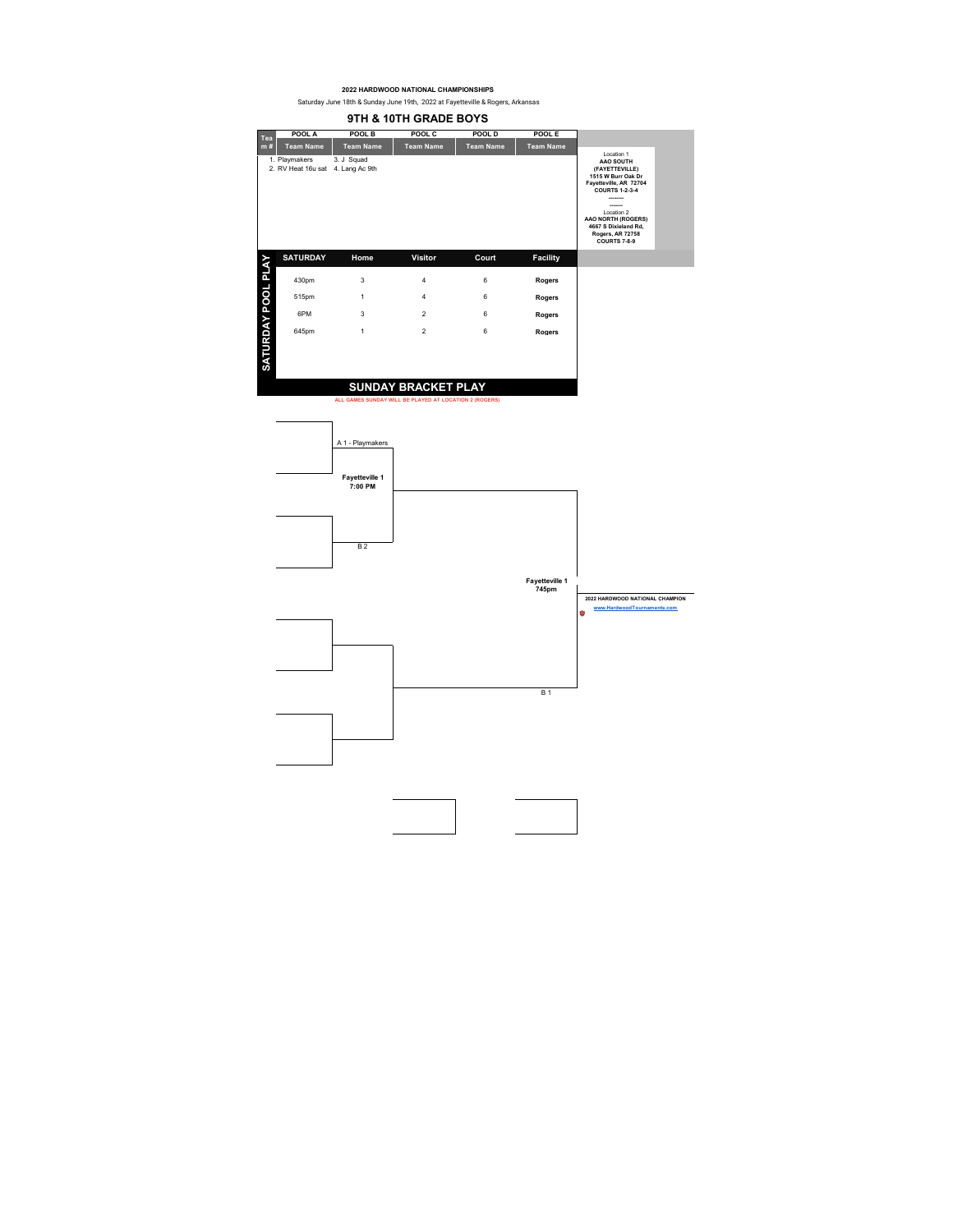Saturday June 18th & Sunday June 19th, 2022 at Fayetteville & Rogers, Arkansas

|                    | 9TH & 10TH GRADE BOYS                              |                  |                                                                                      |                  |                  |                                                                                                                                                                                                                           |  |  |  |  |
|--------------------|----------------------------------------------------|------------------|--------------------------------------------------------------------------------------|------------------|------------------|---------------------------------------------------------------------------------------------------------------------------------------------------------------------------------------------------------------------------|--|--|--|--|
| Tea                | POOL A                                             | POOL B           | POOL C                                                                               | POOL D           | POOL E           |                                                                                                                                                                                                                           |  |  |  |  |
| m#                 | <b>Team Name</b>                                   | <b>Team Name</b> | <b>Team Name</b>                                                                     | <b>Team Name</b> | <b>Team Name</b> |                                                                                                                                                                                                                           |  |  |  |  |
|                    | 1. Playmakers<br>2. RV Heat 16u sat 4. Lang Ac 9th | 3. J Squad       |                                                                                      |                  |                  | Location 1<br>AAO SOUTH<br>(FAYETTEVILLE)<br>1515 W Burr Oak Dr<br>Fayetteville, AR 72704<br><b>COURTS 1-2-3-4</b><br>Location 2<br>AAO NORTH (ROGERS)<br>4667 S Dixieland Rd,<br>Rogers, AR 72758<br><b>COURTS 7-8-9</b> |  |  |  |  |
|                    | <b>SATURDAY</b>                                    | Home             | <b>Visitor</b>                                                                       | Court            | <b>Facility</b>  |                                                                                                                                                                                                                           |  |  |  |  |
|                    | 430pm                                              | 3                | 4                                                                                    | 6                | Rogers           |                                                                                                                                                                                                                           |  |  |  |  |
|                    | 515pm                                              | 1                | 4                                                                                    | 6                | Rogers           |                                                                                                                                                                                                                           |  |  |  |  |
|                    | 6PM                                                | 3                | $\overline{2}$                                                                       | 6                | Rogers           |                                                                                                                                                                                                                           |  |  |  |  |
|                    | 645pm                                              | 1                | $\overline{2}$                                                                       | 6                | Rogers           |                                                                                                                                                                                                                           |  |  |  |  |
| SATURDAY POOL PLAY |                                                    |                  | <b>SUNDAY BRACKET PLAY</b><br>ALL GAMES SUNDAY WILL BE PLAYED AT LOCATION 2 (ROGERS) |                  |                  |                                                                                                                                                                                                                           |  |  |  |  |

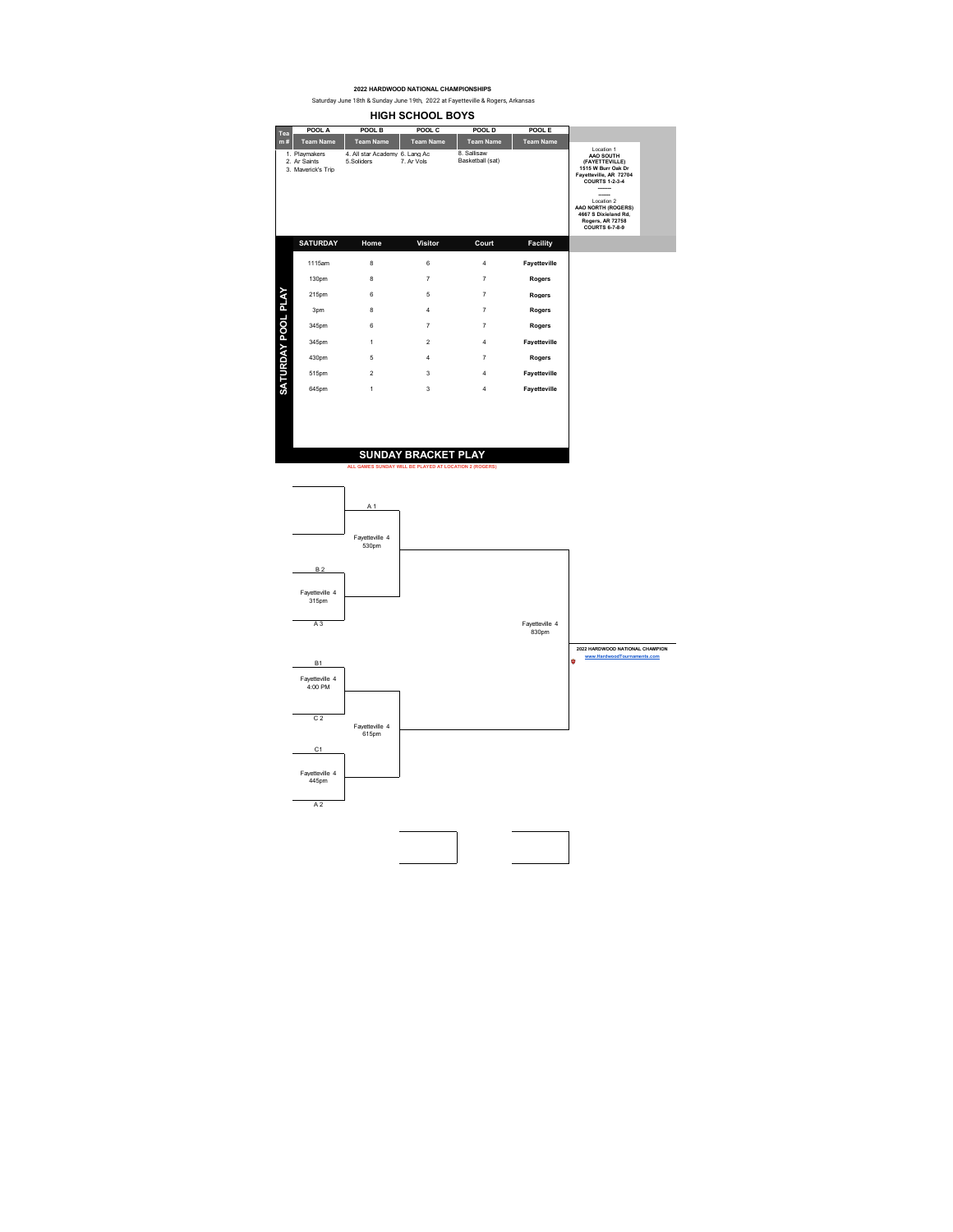**HIGH SCHOOL BOYS POOL A POOL B POOL C POOL D POOL E Team Name Team Name Team Name Team Name Team Name Tea m #** Location 1 **AAO SOUTH (FAYETTEVILLE) 1515 W Burr Oak Dr Fayetteville, AR 72704 COURTS 1-2-3-4** 8. Sallisaw<br>Basketball (sat) 1. Playmakers 4. All star Academy 6. Lang Ac 2. Ar Saints 5.Soliders 7. Ar Vols 3. Maverick's Trip **-------- -------** Location 2 **AAO NORTH (ROGERS) 4667 S Dixieland Rd, Rogers, AR 72758 COURTS 6-7-8-9 SATURDAY Home Visitor Court Facility** 1115am 8 6 4 **Fayetteville**  130pm 8 7 7 **Rogers**  SATURDAY POOL PLAY **SATURDAY POOL PLAY** 215pm 6 5 7 **Rogers**  3pm 8 4 7 **Rogers**  345pm 6 7 7 **Rogers**  345pm 1 2 4 **Fayetteville**  430pm 5 4 7 **Rogers**  515pm 2 3 4 **Fayetteville**  645pm 1 3 4 **Fayetteville SUNDAY BRACKET PLAY ALL GAMES SUNDAY WILL BE PLAYED AT LOCATION 2 (ROGERS)**